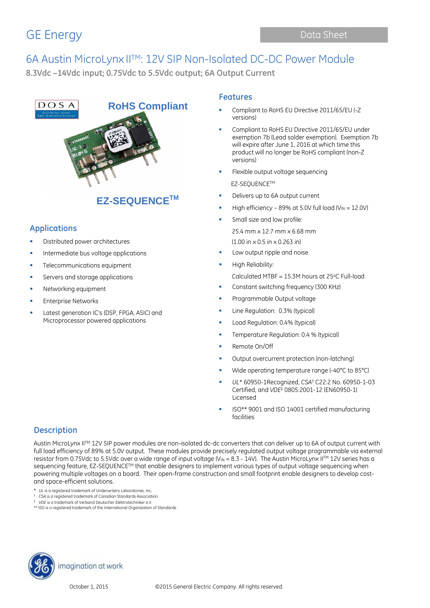# GE Energy Data Sheet

## 6A Austin MicroLynx IITM: 12V SIP Non-Isolated DC-DC Power Module **8.3Vdc –14Vdc input; 0.75Vdc to 5.5Vdc output; 6A Output Current**



## **EZ-SEQUENCETM**

### **Applications**

- Distributed power architectures
- Intermediate bus voltage applications
- Telecommunications equipment
- **Servers and storage applications**
- **Networking equipment**
- Enterprise Networks
- Latest generation IC's (DSP, FPGA, ASIC) and Microprocessor powered applications

### **Features**

- Compliant to RoHS EU Directive 2011/65/EU (-Z versions)
- Compliant to RoHS EU Directive 2011/65/EU under exemption 7b (Lead solder exemption). Exemption 7b will expire after June 1, 2016 at which time this product will no longer be RoHS compliant (non-Z versions)
- Flexible output voltage sequencing EZ-SEQUENCETM
- Delivers up to 6A output current
- High efficiency 89% at 5.0V full load ( $V_{IN} = 12.0V$ )
- Small size and low profile: 25.4 mm x 12.7 mm x 6.68 mm (1.00 in x 0.5 in x 0.263 in)
- Low output ripple and noise
- High Reliability:
	- Calculated MTBF =  $15.3$ M hours at 25 $\degree$ C Full-load
- Constant switching frequency (300 KHz)
- Programmable Output voltage
- Line Regulation: 0.3% (typical)
- Load Regulation: 0.4% (typical)
- Temperature Regulation: 0.4 % (typical)
- Remote On/Off
- Output overcurrent protection (non-latching)
- Wide operating temperature range (-40°C to 85°C)
- *UL*\* 60950-1Recognized, *CSA*† C22.2 No. 60950-1-03 Certified, and *VDE*‡ 0805:2001-12 (EN60950-1) Licensed
- ISO\*\* 9001 and ISO 14001 certified manufacturing facilities

### **Description**

Austin MicroLynx II™ 12V SIP power modules are non-isolated dc-dc converters that can deliver up to 6A of output current with full load efficiency of 89% at 5.0V output. These modules provide precisely regulated output voltage programmable via external resistor from 0.75Vdc to 5.5Vdc over a wide range of input voltage (V<sub>IN</sub> = 8.3 - 14V). The Austin MicroLynx II<sup>TM</sup> 12V series has a sequencing feature, EZ-SEQUENCE<sup>TM</sup> that enable designers to implement various types of output voltage sequencing when powering multiple voltages on a board. Their open-frame construction and small footprint enable designers to develop costand space-efficient solutions.

- \* *UL* is a registered trademark of Underwriters Laboratories, Inc.
- † *CSA* is a registered trademark of Canadian Standards Association.
- ‡ *VDE* is a trademark of Verband Deutscher Elektrotechniker e.V. \*\* ISO is a registered trademark of the International Organization of Standards

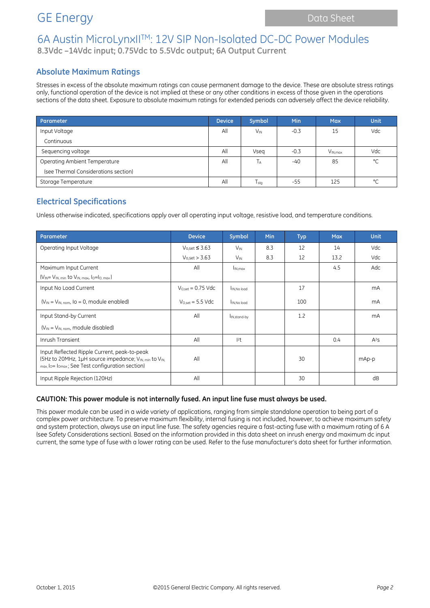## 6A Austin MicroLynxIITM: 12V SIP Non-Isolated DC-DC Power Modules **8.3Vdc –14Vdc input; 0.75Vdc to 5.5Vdc output; 6A Output Current**

### **Absolute Maximum Ratings**

Stresses in excess of the absolute maximum ratings can cause permanent damage to the device. These are absolute stress ratings only, functional operation of the device is not implied at these or any other conditions in excess of those given in the operations sections of the data sheet. Exposure to absolute maximum ratings for extended periods can adversely affect the device reliability.

| Parameter                            | <b>Device</b> | <b>Symbol</b> | <b>Min</b> | <b>Max</b>   | Unit |
|--------------------------------------|---------------|---------------|------------|--------------|------|
| Input Voltage                        | All           | $V_{IN}$      | $-0.3$     | 15           | Vdc  |
| Continuous                           |               |               |            |              |      |
| Sequencing voltage                   | All           | Vseg          | $-0.3$     | $V_{IN.max}$ | Vdc  |
| Operating Ambient Temperature        | All           | ТĀ            | $-40$      | 85           | °C   |
| (see Thermal Considerations section) |               |               |            |              |      |
| Storage Temperature                  | All           | Tstg          | -55        | 125          | °C   |

### **Electrical Specifications**

Unless otherwise indicated, specifications apply over all operating input voltage, resistive load, and temperature conditions.

| Parameter                                                                                                                                                                       | <b>Device</b>                 | Symbol                   | Min | <b>Typ</b> | <b>Max</b> | <b>Unit</b>    |
|---------------------------------------------------------------------------------------------------------------------------------------------------------------------------------|-------------------------------|--------------------------|-----|------------|------------|----------------|
| Operating Input Voltage                                                                                                                                                         | $V_{0,set} \leq 3.63$         | $V_{\text{IN}}$          | 8.3 | 12         | 14         | Vdc            |
|                                                                                                                                                                                 | $V$ <sub>o.set</sub> $>$ 3.63 | $V_{\text{IN}}$          | 8.3 | 12         | 13.2       | Vdc            |
| Maximum Input Current                                                                                                                                                           | All                           | I <sub>IN, max</sub>     |     |            | 4.5        | Adc            |
| $(V_{IN} = V_{IN, min}$ to $V_{IN, max, 10} = I_{O, max}$ )                                                                                                                     |                               |                          |     |            |            |                |
| Input No Load Current                                                                                                                                                           | $V_{Oset} = 0.75$ Vdc         | IN, No load              |     | 17         |            | mA             |
| $(V_{IN} = V_{IN, nom,}$ Io = 0, module enabled)                                                                                                                                | $V_{O.set} = 5.5$ Vdc         | IN, No load              |     | 100        |            | mA             |
| Input Stand-by Current                                                                                                                                                          | All                           | I <sub>IN,stand-by</sub> |     | 1.2        |            | m <sub>A</sub> |
| $(V_{IN} = V_{IN, nom}$ , module disabled)                                                                                                                                      |                               |                          |     |            |            |                |
| Inrush Transient                                                                                                                                                                | All                           | 2t                       |     |            | 0.4        | $A^2S$         |
| Input Reflected Ripple Current, peak-to-peak<br>(5Hz to 20MHz, 1µH source impedance; V <sub>IN, min</sub> to V <sub>IN</sub><br>max, lo= lomax; See Test configuration section) | All                           |                          |     | 30         |            | mAp-p          |
| Input Ripple Rejection (120Hz)                                                                                                                                                  | All                           |                          |     | 30         |            | dB             |

#### **CAUTION: This power module is not internally fused. An input line fuse must always be used.**

This power module can be used in a wide variety of applications, ranging from simple standalone operation to being part of a complex power architecture. To preserve maximum flexibility, internal fusing is not included, however, to achieve maximum safety and system protection, always use an input line fuse. The safety agencies require a fast-acting fuse with a maximum rating of 6 A (see Safety Considerations section). Based on the information provided in this data sheet on inrush energy and maximum dc input current, the same type of fuse with a lower rating can be used. Refer to the fuse manufacturer's data sheet for further information.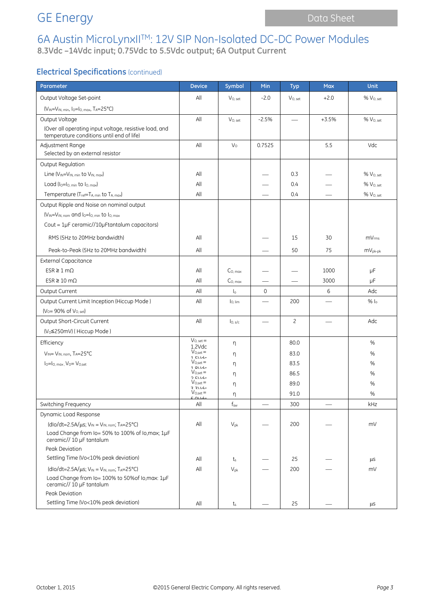## GE Energy **Data Sheet** Data Sheet

# 6A Austin MicroLynxIITM: 12V SIP Non-Isolated DC-DC Power Modules

**8.3Vdc –14Vdc input; 0.75Vdc to 5.5Vdc output; 6A Output Current**

### **Electrical Specifications** (continued)

| Parameter                                                                    | <b>Device</b>                        | Symbol              | Min                      | <b>Typ</b>     | <b>Max</b>               | <b>Unit</b>           |
|------------------------------------------------------------------------------|--------------------------------------|---------------------|--------------------------|----------------|--------------------------|-----------------------|
| Output Voltage Set-point                                                     | All                                  | $V_{O.}$ set        | $-2.0$                   | $V_{O, set}$   | $+2.0$                   | % V <sub>O. set</sub> |
| (VIN=VIN, min, Io=Io, max, TA=25°C)                                          |                                      |                     |                          |                |                          |                       |
| Output Voltage                                                               | All                                  | $V_{O, set}$        | $-2.5%$                  |                | $+3.5%$                  | %V <sub>0. set</sub>  |
| (Over all operating input voltage, resistive load, and                       |                                      |                     |                          |                |                          |                       |
| temperature conditions until end of life)                                    |                                      |                     |                          |                |                          |                       |
| Adjustment Range<br>Selected by an external resistor                         | All                                  | V <sub>0</sub>      | 0.7525                   |                | 5.5                      | Vdc                   |
| Output Regulation                                                            |                                      |                     |                          |                |                          |                       |
| Line (V <sub>IN</sub> =V <sub>IN, min</sub> to V <sub>IN, max</sub> )        | All                                  |                     |                          | 0.3            |                          | % V <sub>O, set</sub> |
| Load $(I_0 = I_0$ min to $I_0$ max)                                          | All                                  |                     |                          | 0.4            |                          | % V <sub>O, set</sub> |
| Temperature (Tref=TA, min to TA, max)                                        | All                                  |                     |                          | 0.4            |                          | % V <sub>O, set</sub> |
| Output Ripple and Noise on nominal output                                    |                                      |                     |                          |                |                          |                       |
| $(V_{IN} = V_{IN, nom}$ and $I_0 = I_{O, min}$ to $I_{O, max}$               |                                      |                     |                          |                |                          |                       |
| Cout = $1\mu$ F ceramic//10 $\mu$ Ftantalum capacitors)                      |                                      |                     |                          |                |                          |                       |
| RMS (5Hz to 20MHz bandwidth)                                                 | All                                  |                     |                          | 15             | 30                       | mV <sub>rms</sub>     |
| Peak-to-Peak (5Hz to 20MHz bandwidth)                                        | All                                  |                     |                          | 50             | 75                       | $mV_{pk-pk}$          |
| <b>External Capacitance</b>                                                  |                                      |                     |                          |                |                          |                       |
| $ESR \geq 1 \, \text{m}\Omega$                                               | All                                  | C <sub>0. max</sub> |                          |                | 1000                     | μF                    |
| $ESR \ge 10 \text{ m}\Omega$                                                 | All                                  | $C_{O,\,max}$       |                          |                | 3000                     | μF                    |
| Output Current                                                               | All                                  | $\mathsf{I}_\circ$  | 0                        |                | 6                        | Adc                   |
| Output Current Limit Inception (Hiccup Mode)                                 | All                                  | lo, lim             |                          | 200            |                          | $%$ $ _0$             |
| $(V_0 = 90\% \text{ of } V_{0.5}$                                            |                                      |                     |                          |                |                          |                       |
| Output Short-Circuit Current                                                 | All                                  | I <sub>O, s/c</sub> | $\overline{\phantom{0}}$ | $\overline{c}$ | $\overline{\phantom{0}}$ | Adc                   |
| (V <sub>0</sub> ≤250mV) (Hiccup Mode)                                        |                                      |                     |                          |                |                          |                       |
| Efficiency                                                                   | $V_{O, set} =$<br>$1.2$ Vdc          | η                   |                          | 80.0           |                          | %                     |
| $V_{IN} = V_{IN. nom}$ , TA=25°C                                             | $V_{O,set} =$<br>$1$ $E1/dr$         | η                   |                          | 83.0           |                          | %                     |
| $I_0 = I_0$ , max, $V_0 = V_0$ , set                                         | $V_{O,set} =$<br>1.01/d <sub>c</sub> | η                   |                          | 83.5           |                          | %                     |
|                                                                              | $V_{O,set} =$<br>$2$ $E1/dc$         | η                   |                          | 86.5           |                          | %                     |
|                                                                              | $V_{O,set} =$<br>77114c              | η                   |                          | 89.0           |                          | %                     |
|                                                                              | $V_{O,set} =$<br>501d                | η                   |                          | 91.0           |                          | %                     |
| Switching Frequency                                                          | $\mathsf{All}$                       | $f_{sw}$            |                          | 300            |                          | kHz                   |
| Dynamic Load Response                                                        |                                      |                     |                          |                |                          |                       |
| $(dlo/dt=2.5A/\mu s; V_{IN}=V_{IN, nom}; T_A=25°C)$                          | All                                  | $V_{pk}$            |                          | 200            |                          | mV                    |
| Load Change from Io= 50% to 100% of Io, max; 1µF<br>ceramic// 10 µF tantalum |                                      |                     |                          |                |                          |                       |
| Peak Deviation                                                               |                                      |                     |                          |                |                          |                       |
| Settling Time (Vo<10% peak deviation)                                        | All                                  | ts                  |                          | 25             |                          | μS                    |
| $(dlo/dt=2.5A/\mu s; V_{IN}=V_{IN, nom}; T_A=25°C)$                          | All                                  | $V_{pk}$            |                          | 200            |                          | mV                    |
| Load Change from Io= 100% to 50% of Io, max: 1µF<br>ceramic// 10 µF tantalum |                                      |                     |                          |                |                          |                       |
| Peak Deviation                                                               |                                      |                     |                          |                |                          |                       |
| Settling Time (Vo<10% peak deviation)                                        | All                                  | $t_{\rm s}$         |                          | 25             |                          | μS                    |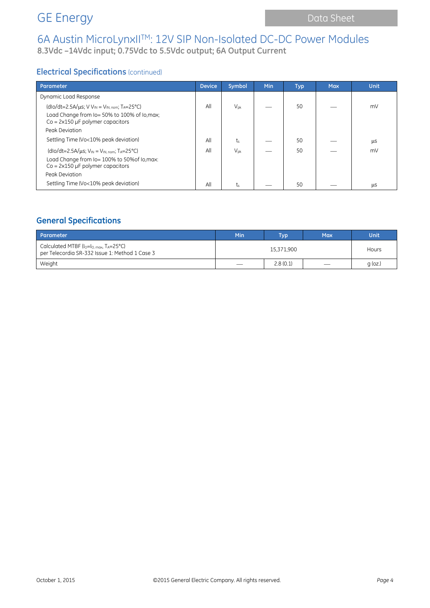# 6A Austin MicroLynxIITM: 12V SIP Non-Isolated DC-DC Power Modules

**8.3Vdc –14Vdc input; 0.75Vdc to 5.5Vdc output; 6A Output Current**

### **Electrical Specifications** (continued)

| Parameter                                                                                                                                                                               | <b>Device</b> | Symbol          | <b>Min</b> | <b>Typ</b> | <b>Max</b> | <b>Unit</b> |
|-----------------------------------------------------------------------------------------------------------------------------------------------------------------------------------------|---------------|-----------------|------------|------------|------------|-------------|
| Dynamic Load Response                                                                                                                                                                   |               |                 |            |            |            |             |
| (dlo/dt=2.5A/ $\mu$ s; V V <sub>IN</sub> = V <sub>IN, nom</sub> ; T <sub>A</sub> =25°C)<br>Load Change from Io= 50% to 100% of Io, max;<br>$Co = 2 \times 150 \mu F$ polymer capacitors | All           | $V_{\text{pk}}$ |            | 50         |            | mV          |
| Peak Deviation                                                                                                                                                                          |               |                 |            |            |            |             |
| Settling Time (Vo<10% peak deviation)                                                                                                                                                   | All           | $t_{s}$         |            | 50         |            | μS          |
| $(dlo/dt=2.5A/\mu s; VIN = VIN, nom; TA=25°C)$                                                                                                                                          | All           | $V_{\text{pk}}$ |            | 50         |            | mV          |
| Load Change from Io= 100% to 50% of Io, max:<br>$Co = 2 \times 150 \,\mu F$ polymer capacitors                                                                                          |               |                 |            |            |            |             |
| Peak Deviation                                                                                                                                                                          |               |                 |            |            |            |             |
| Settling Time (Vo<10% peak deviation)                                                                                                                                                   | All           | $t_{s}$         |            | 50         |            | <b>LLS</b>  |

### **General Specifications**

| Parameter                                                                                                  | Min                             | <b>Tvp</b> | <b>Max</b>                      | <b>Unit</b> |
|------------------------------------------------------------------------------------------------------------|---------------------------------|------------|---------------------------------|-------------|
| Calculated MTBF ( $I_0 = I_0$ max, $T_A = 25^{\circ}$ C)<br>per Telecordia SR-332 Issue 1: Method 1 Case 3 |                                 | Hours      |                                 |             |
| Weight                                                                                                     | $\hspace{0.1mm}-\hspace{0.1mm}$ | 2.8(0.1)   | $\overbrace{\qquad \qquad }^{}$ | $q$ (oz.)   |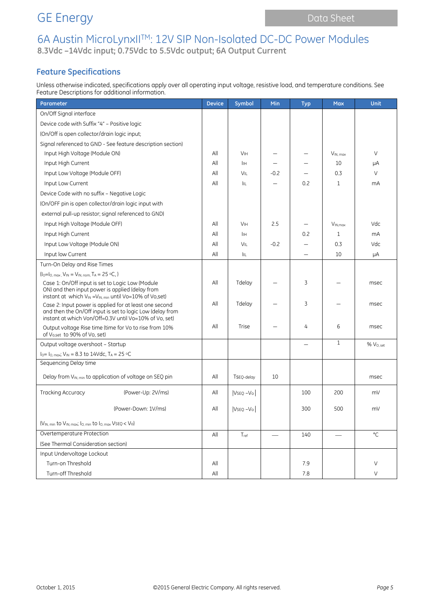## GE Energy **Data Sheet** Data Sheet

## 6A Austin MicroLynxIITM: 12V SIP Non-Isolated DC-DC Power Modules **8.3Vdc –14Vdc input; 0.75Vdc to 5.5Vdc output; 6A Output Current**

### **Feature Specifications**

Unless otherwise indicated, specifications apply over all operating input voltage, resistive load, and temperature conditions. See Feature Descriptions for additional information.

| Parameter                                                                                                                                                                               | <b>Device</b>  | Symbol                | Min                      | <b>Typ</b> | <b>Max</b>          | <b>Unit</b>           |
|-----------------------------------------------------------------------------------------------------------------------------------------------------------------------------------------|----------------|-----------------------|--------------------------|------------|---------------------|-----------------------|
| On/Off Signal interface                                                                                                                                                                 |                |                       |                          |            |                     |                       |
| Device code with Suffix "4" - Positive logic                                                                                                                                            |                |                       |                          |            |                     |                       |
| (On/Off is open collector/drain logic input;                                                                                                                                            |                |                       |                          |            |                     |                       |
| Signal referenced to GND - See feature description section)                                                                                                                             |                |                       |                          |            |                     |                       |
| Input High Voltage (Module ON)                                                                                                                                                          | All            | <b>V<sub>IH</sub></b> |                          |            | $V_{IN, max}$       | V                     |
| Input High Current                                                                                                                                                                      | All            | IІн                   |                          |            | 10                  | μA                    |
| Input Low Voltage (Module OFF)                                                                                                                                                          | All            | VIL                   | $-0.2$                   |            | 0.3                 | V                     |
| Input Low Current                                                                                                                                                                       | All            | ÌЩ                    |                          | 0.2        | $\mathbf{1}$        | mA                    |
| Device Code with no suffix - Negative Logic                                                                                                                                             |                |                       |                          |            |                     |                       |
| (On/OFF pin is open collector/drain logic input with                                                                                                                                    |                |                       |                          |            |                     |                       |
| external pull-up resistor; signal referenced to GND)                                                                                                                                    |                |                       |                          |            |                     |                       |
| Input High Voltage (Module OFF)                                                                                                                                                         | All            | <b>V<sub>IH</sub></b> | 2.5                      |            | V <sub>IN.max</sub> | Vdc                   |
| Input High Current                                                                                                                                                                      | All            | IІн                   |                          | 0.2        | $\mathbf{1}$        | mA                    |
| Input Low Voltage (Module ON)                                                                                                                                                           | All            | VIL                   | $-0.2$                   |            | 0.3                 | Vdc                   |
| Input low Current                                                                                                                                                                       | All            | ÌЩ                    |                          |            | 10                  | μA                    |
| Turn-On Delay and Rise Times                                                                                                                                                            |                |                       |                          |            |                     |                       |
| $(I_0 = I_0$ , max, $V_{IN} = V_{IN}$ , nom, TA = 25 °C, )                                                                                                                              |                |                       |                          |            |                     |                       |
| Case 1: On/Off input is set to Logic Low (Module<br>ON) and then input power is applied (delay from<br>instant at which V <sub>IN</sub> = V <sub>IN, min</sub> until Vo=10% of Vo, set) | All            | Tdelay                |                          | 3          |                     | msec                  |
| Case 2: Input power is applied for at least one second<br>and then the On/Off input is set to logic Low (delay from<br>instant at which Von/Off=0.3V until Vo=10% of Vo. set)           |                | Tdelay                |                          | 3          |                     | msec                  |
| Output voltage Rise time (time for Vo to rise from 10%<br>of Vo, set to 90% of Vo, set)                                                                                                 | All            | Trise                 |                          | 4          | 6                   | msec                  |
| Output voltage overshoot - Startup                                                                                                                                                      |                |                       |                          |            | $\mathbf{1}$        | % V <sub>O. set</sub> |
| $I_0 = I_0$ max; $V_{IN} = 8.3$ to 14Vdc, $T_A = 25$ °C                                                                                                                                 |                |                       |                          |            |                     |                       |
| Sequencing Delay time                                                                                                                                                                   |                |                       |                          |            |                     |                       |
| Delay from VIN, min to application of voltage on SEQ pin                                                                                                                                | All            | TSEQ-delay            | 10                       |            |                     | msec                  |
| Tracking Accuracy<br>(Power-Up: 2V/ms)                                                                                                                                                  | All            | $VSEQ - VQ$           |                          | 100        | 200                 | mV                    |
| (Power-Down: 1V/ms)                                                                                                                                                                     | All            | $VSEQ - VQ$           |                          | 300        | 500                 | mV                    |
| (VIN, min to VIN, max; Io, min to Io, max VSEQ < Vo)                                                                                                                                    |                |                       |                          |            |                     |                       |
| Overtemperature Protection                                                                                                                                                              | All            | Tref                  | $\overline{\phantom{0}}$ | 140        |                     | $^{\circ}$ C          |
| (See Thermal Consideration section)                                                                                                                                                     |                |                       |                          |            |                     |                       |
| Input Undervoltage Lockout                                                                                                                                                              |                |                       |                          |            |                     |                       |
| Turn-on Threshold                                                                                                                                                                       | All            |                       |                          | 7.9        |                     | V                     |
| Turn-off Threshold                                                                                                                                                                      | $\mathsf{All}$ |                       |                          | 7.8        |                     | V                     |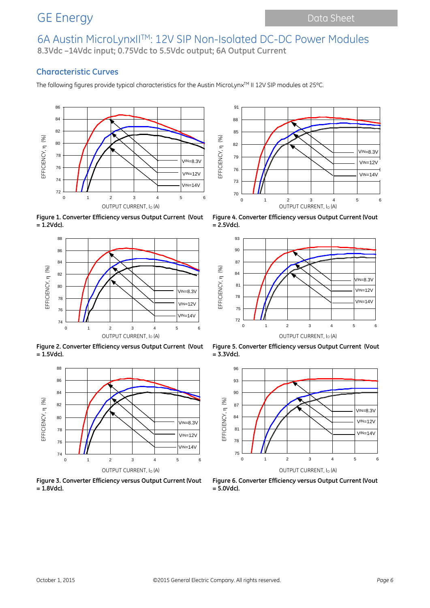## 6A Austin MicroLynxIITM: 12V SIP Non-Isolated DC-DC Power Modules **8.3Vdc –14Vdc input; 0.75Vdc to 5.5Vdc output; 6A Output Current**

### **Characteristic Curves**

The following figures provide typical characteristics for the Austin MicroLynx™ II 12V SIP modules at 25°C.



**Figure 1. Converter Efficiency versus Output Current (Vout = 1.2Vdc).**



**Figure 2. Converter Efficiency versus Output Current (Vout = 1.5Vdc).**



**Figure 3. Converter Efficiency versus Output Current (Vout = 1.8Vdc).**



**Figure 4. Converter Efficiency versus Output Current (Vout = 2.5Vdc).**



**Figure 5. Converter Efficiency versus Output Current (Vout = 3.3Vdc).**



**Figure 6. Converter Efficiency versus Output Current (Vout = 5.0Vdc).**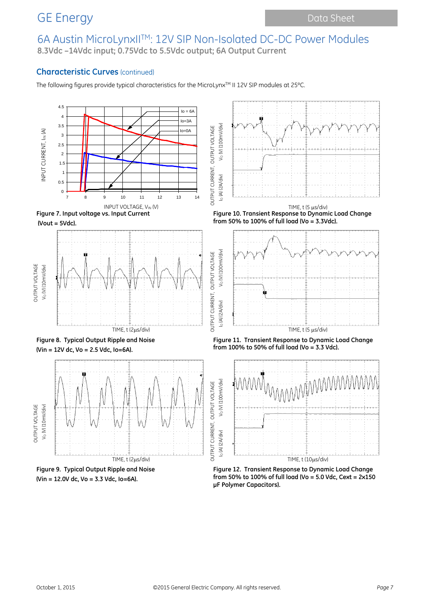## 6A Austin MicroLynxIITM: 12V SIP Non-Isolated DC-DC Power Modules **8.3Vdc –14Vdc input; 0.75Vdc to 5.5Vdc output; 6A Output Current**

### **Characteristic Curves** (continued)

The following figures provide typical characteristics for the MicroLynx™ II 12V SIP modules at 25°C.



**(Vin = 12.0V dc, Vo = 3.3 Vdc, Io=6A).**

**from 50% to 100% of full load (Vo = 5.0 Vdc, Cext = 2x150 μF Polymer Capacitors).**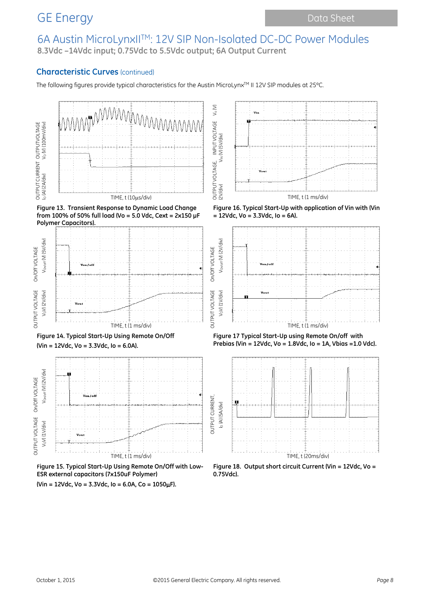## 6A Austin MicroLynxIITM: 12V SIP Non-Isolated DC-DC Power Modules **8.3Vdc –14Vdc input; 0.75Vdc to 5.5Vdc output; 6A Output Current**

OUTPUT VOLTAGE, INPUT VOLTAGE Vo (V)

 $V_{\circ}$  (V)

OUTPUT VOLTAGE On/Off VOLTAGE

### **Characteristic Curves** (continued)

The following figures provide typical characteristics for the Austin MicroLynx™ II 12V SIP modules at 25°C.



**Figure 13. Transient Response to Dynamic Load Change from 100% of 50% full load (Vo = 5.0 Vdc, Cext = 2x150 μF Polymer Capacitors).**







**Figure 15. Typical Start-Up Using Remote On/Off with Low-ESR external capacitors (7x150uF Polymer)**





**Figure 16. Typical Start-Up with application of Vin with (Vin = 12Vdc, Vo = 3.3Vdc, Io = 6A).**







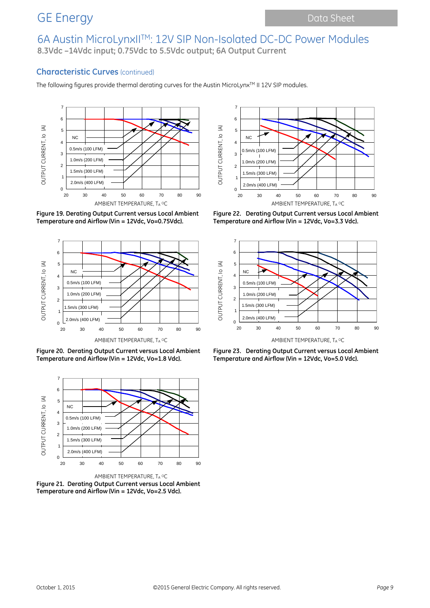## 6A Austin MicroLynxIITM: 12V SIP Non-Isolated DC-DC Power Modules **8.3Vdc –14Vdc input; 0.75Vdc to 5.5Vdc output; 6A Output Current**

### **Characteristic Curves** (continued)

The following figures provide thermal derating curves for the Austin MicroLynx™ II 12V SIP modules.



**Figure 19. Derating Output Current versus Local Ambient Temperature and Airflow (Vin = 12Vdc, Vo=0.75Vdc).**



**Figure 20. Derating Output Current versus Local Ambient Temperature and Airflow (Vin = 12Vdc, Vo=1.8 Vdc).**



**Figure 21. Derating Output Current versus Local Ambient Temperature and Airflow (Vin = 12Vdc, Vo=2.5 Vdc).**



**Figure 22. Derating Output Current versus Local Ambient Temperature and Airflow (Vin = 12Vdc, Vo=3.3 Vdc).**



**Figure 23. Derating Output Current versus Local Ambient Temperature and Airflow (Vin = 12Vdc, Vo=5.0 Vdc).**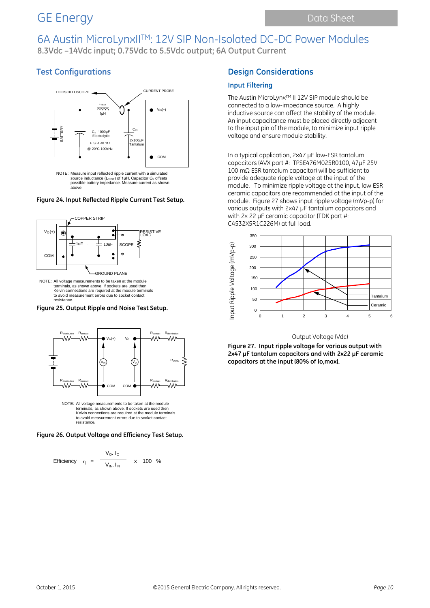## 6A Austin MicroLynxIITM: 12V SIP Non-Isolated DC-DC Power Modules **8.3Vdc –14Vdc input; 0.75Vdc to 5.5Vdc output; 6A Output Current**

### **Test Configurations**



#### **Figure 24. Input Reflected Ripple Current Test Setup.**



terminals, as shown above. If sockets are used then Kelvin connections are required at the module terminals to avoid measurement errors due to socket contact resistance.

**Figure 25. Output Ripple and Noise Test Setup.**



**Figure 26. Output Voltage and Efficiency Test Setup.**

Efficiency 
$$
\eta = \frac{V_O. I_O}{V_{IN.} I_{IN}}
$$
 x 100 %

### **Design Considerations**

#### **Input Filtering**

The Austin MicroLynx™ II 12V SIP module should be connected to a low-impedance source. A highly inductive source can affect the stability of the module. An input capacitance must be placed directly adjacent to the input pin of the module, to minimize input ripple voltage and ensure module stability.

In a typical application, 2x47 µF low-ESR tantalum capacitors (AVX part #: TPSE476M025R0100, 47µF 25V 100 mΩ ESR tantalum capacitor) will be sufficient to provide adequate ripple voltage at the input of the module. To minimize ripple voltage at the input, low ESR ceramic capacitors are recommended at the input of the module. Figure 27 shows input ripple voltage (mVp-p) for various outputs with 2x47 µF tantalum capacitors and with 2x 22 µF ceramic capacitor (TDK part #: C4532X5R1C226M) at full load.



#### Output Voltage (Vdc)

**Figure 27. Input ripple voltage for various output with 2x47 µF tantalum capacitors and with 2x22 µF ceramic capacitors at the input (80% of Io,max).**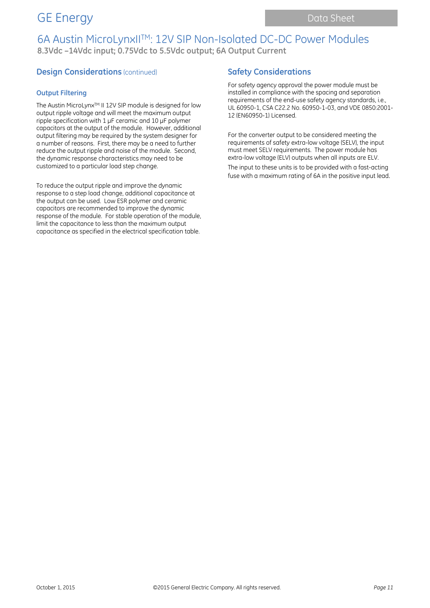## 6A Austin MicroLynxIITM: 12V SIP Non-Isolated DC-DC Power Modules **8.3Vdc –14Vdc input; 0.75Vdc to 5.5Vdc output; 6A Output Current**

### **Design Considerations** (continued)

### **Output Filtering**

The Austin MicroLynx™ II 12V SIP module is designed for low output ripple voltage and will meet the maximum output ripple specification with 1 µF ceramic and 10 µF polymer capacitors at the output of the module. However, additional output filtering may be required by the system designer for a number of reasons. First, there may be a need to further reduce the output ripple and noise of the module. Second, the dynamic response characteristics may need to be customized to a particular load step change.

To reduce the output ripple and improve the dynamic response to a step load change, additional capacitance at the output can be used. Low ESR polymer and ceramic capacitors are recommended to improve the dynamic response of the module. For stable operation of the module, limit the capacitance to less than the maximum output capacitance as specified in the electrical specification table.

### **Safety Considerations**

For safety agency approval the power module must be installed in compliance with the spacing and separation requirements of the end-use safety agency standards, i.e., UL 60950-1, CSA C22.2 No. 60950-1-03, and VDE 0850:2001- 12 (EN60950-1) Licensed.

For the converter output to be considered meeting the requirements of safety extra-low voltage (SELV), the input must meet SELV requirements. The power module has extra-low voltage (ELV) outputs when all inputs are ELV. The input to these units is to be provided with a fast-acting fuse with a maximum rating of 6A in the positive input lead.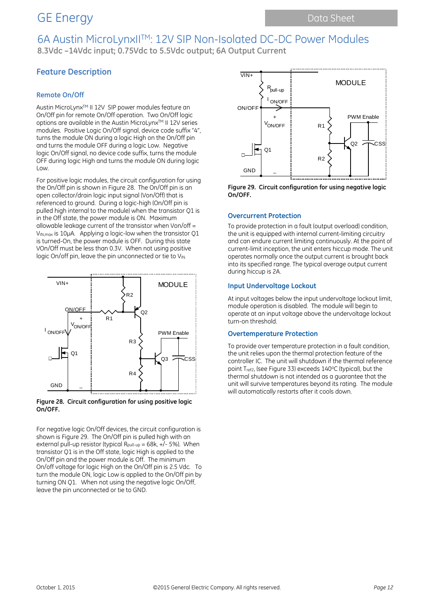## 6A Austin MicroLynxIITM: 12V SIP Non-Isolated DC-DC Power Modules **8.3Vdc –14Vdc input; 0.75Vdc to 5.5Vdc output; 6A Output Current**

### **Feature Description**

### **Remote On/Off**

Austin MicroLynxTM II 12V SIP power modules feature an On/Off pin for remote On/Off operation. Two On/Off logic options are available in the Austin MicroLynx™ II 12V series modules. Positive Logic On/Off signal, device code suffix "4", turns the module ON during a logic High on the On/Off pin and turns the module OFF during a logic Low. Negative logic On/Off signal, no device code suffix, turns the module OFF during logic High and turns the module ON during logic Low.

For positive logic modules, the circuit configuration for using the On/Off pin is shown in Figure 28. The On/Off pin is an open collector/drain logic input signal (Von/Off) that is referenced to ground. During a logic-high (On/Off pin is pulled high internal to the module) when the transistor Q1 is in the Off state, the power module is ON. Maximum allowable leakage current of the transistor when Von/off = VIN,max is 10µA. Applying a logic-low when the transistor Q1 is turned-On, the power module is OFF. During this state VOn/Off must be less than 0.3V. When not using positive logic On/off pin, leave the pin unconnected or tie to VIN.



**Figure 28. Circuit configuration for using positive logic On/OFF.**

For negative logic On/Off devices, the circuit configuration is shown is Figure 29. The On/Off pin is pulled high with an external pull-up resistor (typical R<sub>pull-up</sub> =  $68k$ ,  $+/-5%$ ). When transistor Q1 is in the Off state, logic High is applied to the On/Off pin and the power module is Off. The minimum On/off voltage for logic High on the On/Off pin is 2.5 Vdc. To turn the module ON, logic Low is applied to the On/Off pin by turning ON Q1. When not using the negative logic On/Off, leave the pin unconnected or tie to GND.



**Figure 29. Circuit configuration for using negative logic On/OFF.**

#### **Overcurrent Protection**

To provide protection in a fault (output overload) condition, the unit is equipped with internal current-limiting circuitry and can endure current limiting continuously. At the point of current-limit inception, the unit enters hiccup mode. The unit operates normally once the output current is brought back into its specified range. The typical average output current during hiccup is 2A.

#### **Input Undervoltage Lockout**

At input voltages below the input undervoltage lockout limit, module operation is disabled. The module will begin to operate at an input voltage above the undervoltage lockout turn-on threshold.

#### **Overtemperature Protection**

To provide over temperature protection in a fault condition, the unit relies upon the thermal protection feature of the controller IC. The unit will shutdown if the thermal reference point T<sub>ref2</sub>, (see Figure 33) exceeds 140°C (typical), but the thermal shutdown is not intended as a guarantee that the unit will survive temperatures beyond its rating. The module will automatically restarts after it cools down.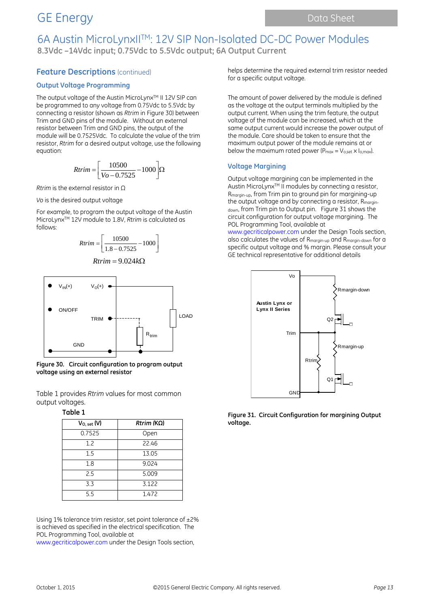## 6A Austin MicroLynxIITM: 12V SIP Non-Isolated DC-DC Power Modules **8.3Vdc –14Vdc input; 0.75Vdc to 5.5Vdc output; 6A Output Current**

### **Feature Descriptions (continued)**

#### **Output Voltage Programming**

The output voltage of the Austin MicroLynx™ II 12V SIP can be programmed to any voltage from 0.75Vdc to 5.5Vdc by connecting a resistor (shown as *Rtrim* in Figure 30) between Trim and GND pins of the module. Without an external resistor between Trim and GND pins, the output of the module will be 0.7525Vdc. To calculate the value of the trim resistor, *Rtrim* for a desired output voltage, use the following equation:

$$
Rtrim = \left[\frac{10500}{Vo - 0.7525} - 1000\right] \Omega
$$

*Rtrim* is the external resistor in Ω

*Vo* is the desired output voltage

For example, to program the output voltage of the Austin MicroLynxTM 12V module to 1.8V, *Rtrim* is calculated as follows:

$$
Rtrim = \left[ \frac{10500}{1.8 - 0.7525} - 1000 \right]
$$

$$
Rtrim = 9.024k\Omega
$$



**Figure 30. Circuit configuration to program output voltage using an external resistor**

Table 1 provides *Rtrim* values for most common output voltages.

#### **Table 1**

| $V_{O, set}$ (V) | $Rtrim (K\Omega)$ |
|------------------|-------------------|
| 0.7525           | Open              |
| 1.2              | 22.46             |
| 1.5              | 13.05             |
| 1.8              | 9.024             |
| 2.5              | 5.009             |
| 3.3              | 3.122             |
| 5.5              | 1.472             |

Using 1% tolerance trim resistor, set point tolerance of ±2% is achieved as specified in the electrical specification. The POL Programming Tool, available at

www.gecriticalpower.com under the Design Tools section,

helps determine the required external trim resistor needed for a specific output voltage.

The amount of power delivered by the module is defined as the voltage at the output terminals multiplied by the output current. When using the trim feature, the output voltage of the module can be increased, which at the same output current would increase the power output of the module. Care should be taken to ensure that the maximum output power of the module remains at or below the maximum rated power ( $P_{max} = V_{o,set} \times I_{o,max}$ ).

#### **Voltage Margining**

Output voltage margining can be implemented in the Austin MicroLynx<sup>™</sup> II modules by connecting a resistor, Rmargin-up, from Trim pin to ground pin for margining-up the output voltage and by connecting a resistor, Rmargindown, from Trim pin to Output pin. Figure 31 shows the circuit configuration for output voltage margining. The POL Programming Tool, available at

www.gecriticalpower.com under the Design Tools section, also calculates the values of Rmargin-up and Rmargin-down for a specific output voltage and % margin. Please consult your GE technical representative for additional details



**Figure 31. Circuit Configuration for margining Output voltage.**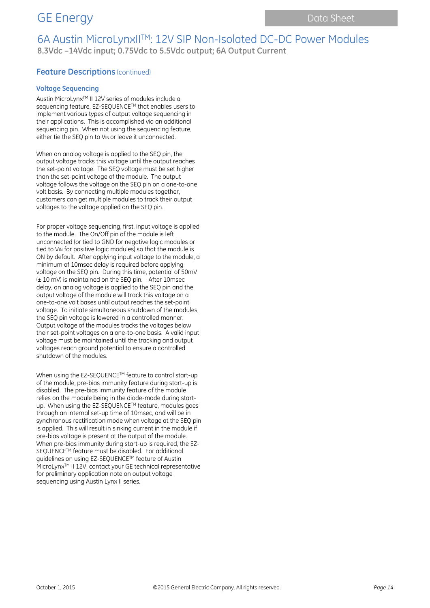## 6A Austin MicroLynxIITM: 12V SIP Non-Isolated DC-DC Power Modules **8.3Vdc –14Vdc input; 0.75Vdc to 5.5Vdc output; 6A Output Current**

### **Feature Descriptions** (continued)

#### **Voltage Sequencing**

Austin MicroLynx<sup>™</sup> II 12V series of modules include a sequencing feature, EZ-SEQUENCE™ that enables users to implement various types of output voltage sequencing in their applications. This is accomplished via an additional sequencing pin. When not using the sequencing feature, either tie the SEQ pin to VIN or leave it unconnected.

When an analog voltage is applied to the SEQ pin, the output voltage tracks this voltage until the output reaches the set-point voltage. The SEQ voltage must be set higher than the set-point voltage of the module. The output voltage follows the voltage on the SEQ pin on a one-to-one volt basis. By connecting multiple modules together, customers can get multiple modules to track their output voltages to the voltage applied on the SEQ pin.

For proper voltage sequencing, first, input voltage is applied to the module. The On/Off pin of the module is left unconnected (or tied to GND for negative logic modules or tied to V<sub>IN</sub> for positive logic modules) so that the module is ON by default. After applying input voltage to the module, a minimum of 10msec delay is required before applying voltage on the SEQ pin. During this time, potential of 50mV (± 10 mV) is maintained on the SEQ pin. After 10msec delay, an analog voltage is applied to the SEQ pin and the output voltage of the module will track this voltage on a one-to-one volt bases until output reaches the set-point voltage. To initiate simultaneous shutdown of the modules, the SEQ pin voltage is lowered in a controlled manner. Output voltage of the modules tracks the voltages below their set-point voltages on a one-to-one basis. A valid input voltage must be maintained until the tracking and output voltages reach ground potential to ensure a controlled shutdown of the modules.

When using the EZ-SEQUENCE™ feature to control start-up of the module, pre-bias immunity feature during start-up is disabled. The pre-bias immunity feature of the module relies on the module being in the diode-mode during startup. When using the EZ-SEQUENCE™ feature, modules goes through an internal set-up time of 10msec, and will be in synchronous rectification mode when voltage at the SEQ pin is applied. This will result in sinking current in the module if pre-bias voltage is present at the output of the module. When pre-bias immunity during start-up is required, the EZ-SEQUENCE™ feature must be disabled. For additional guidelines on using EZ-SEQUENCE™ feature of Austin MicroLynx™ II 12V, contact your GE technical representative for preliminary application note on output voltage sequencing using Austin Lynx II series.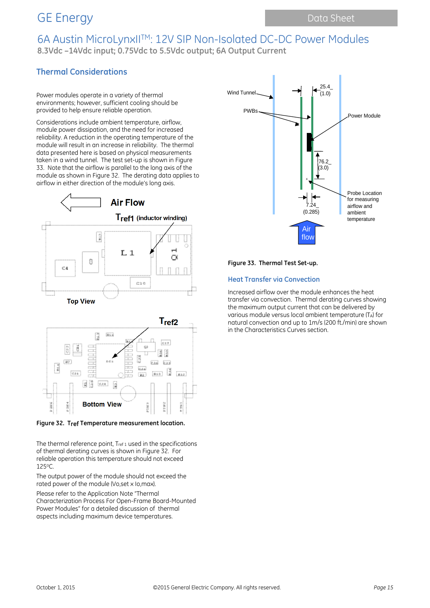## 6A Austin MicroLynxIITM: 12V SIP Non-Isolated DC-DC Power Modules **8.3Vdc –14Vdc input; 0.75Vdc to 5.5Vdc output; 6A Output Current**

### **Thermal Considerations**

Power modules operate in a variety of thermal environments; however, sufficient cooling should be provided to help ensure reliable operation.

Considerations include ambient temperature, airflow, module power dissipation, and the need for increased reliability. A reduction in the operating temperature of the module will result in an increase in reliability. The thermal data presented here is based on physical measurements taken in a wind tunnel. The test set-up is shown in Figure 33. Note that the airflow is parallel to the long axis of the module as shown in Figure 32. The derating data applies to airflow in either direction of the module's long axis.





**Figure 32. Tref Temperature measurement location.**

The thermal reference point, T<sub>ref 1</sub> used in the specifications of thermal derating curves is shown in Figure 32. For reliable operation this temperature should not exceed 125oC.

The output power of the module should not exceed the rated power of the module (Vo,set x Io,max).

Please refer to the Application Note "Thermal Characterization Process For Open-Frame Board-Mounted Power Modules" for a detailed discussion of thermal aspects including maximum device temperatures.



#### **Figure 33. Thermal Test Set-up.**

### **Heat Transfer via Convection**

Increased airflow over the module enhances the heat transfer via convection. Thermal derating curves showing the maximum output current that can be delivered by various module versus local ambient temperature (TA) for natural convection and up to 1m/s (200 ft./min) are shown in the Characteristics Curves section.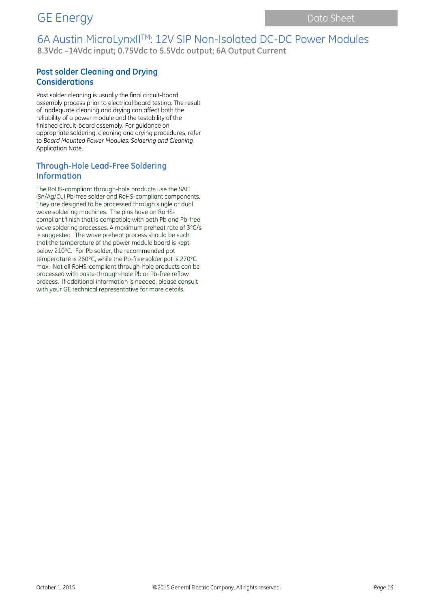## 6A Austin MicroLynxIITM: 12V SIP Non-Isolated DC-DC Power Modules **8.3Vdc –14Vdc input; 0.75Vdc to 5.5Vdc output; 6A Output Current**

### **Post solder Cleaning and Drying Considerations**

Post solder cleaning is usually the final circuit-board assembly process prior to electrical board testing. The result of inadequate cleaning and drying can affect both the reliability of a power module and the testability of the finished circuit-board assembly. For guidance on appropriate soldering, cleaning and drying procedures, refer to *Board Mounted Power Modules: Soldering and Cleaning* Application Note.

### **Through-Hole Lead-Free Soldering Information**

The RoHS-compliant through-hole products use the SAC (Sn/Ag/Cu) Pb-free solder and RoHS-compliant components. They are designed to be processed through single or dual wave soldering machines. The pins have an RoHScompliant finish that is compatible with both Pb and Pb-free wave soldering processes. A maximum preheat rate of 3°C/s is suggested. The wave preheat process should be such that the temperature of the power module board is kept below 210°C. For Pb solder, the recommended pot temperature is 260°C, while the Pb-free solder pot is 270°C max. Not all RoHS-compliant through-hole products can be processed with paste-through-hole Pb or Pb-free reflow process. If additional information is needed, please consult with your GE technical representative for more details.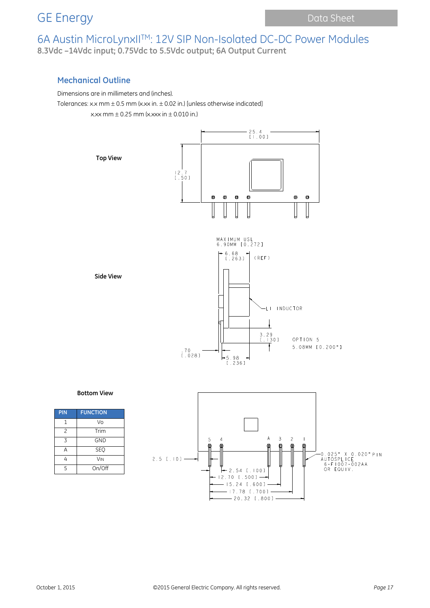## 6A Austin MicroLynxIITM: 12V SIP Non-Isolated DC-DC Power Modules **8.3Vdc –14Vdc input; 0.75Vdc to 5.5Vdc output; 6A Output Current**

### **Mechanical Outline**

#### Dimensions are in millimeters and (inches).

Tolerances: x.x mm  $\pm$  0.5 mm (x.xx in.  $\pm$  0.02 in.) [unless otherwise indicated] x.xx mm  $\pm$  0.25 mm (x.xxx in  $\pm$  0.010 in.)



#### **Bottom View**

| PIN                      | <b>FUNCTION</b> |
|--------------------------|-----------------|
| 1                        | Vo              |
| $\overline{\phantom{0}}$ | Trim            |
| 3                        | <b>GND</b>      |
| Δ                        | <b>SEO</b>      |
| ᠘                        | <b>VIN</b>      |
| 5                        | On/Off          |

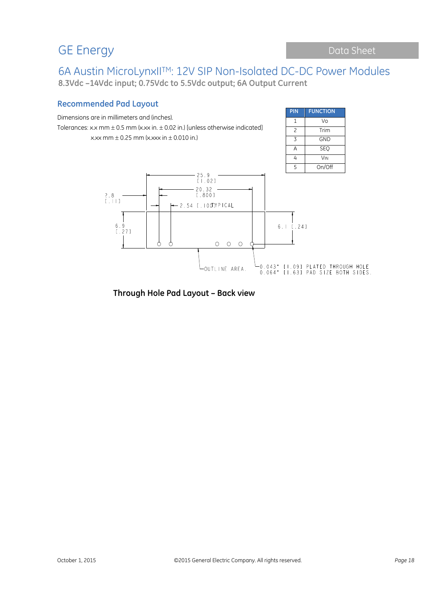## GE Energy Data Sheet

6A Austin MicroLynxIITM: 12V SIP Non-Isolated DC-DC Power Modules **8.3Vdc –14Vdc input; 0.75Vdc to 5.5Vdc output; 6A Output Current**

### **Recommended Pad Layout**